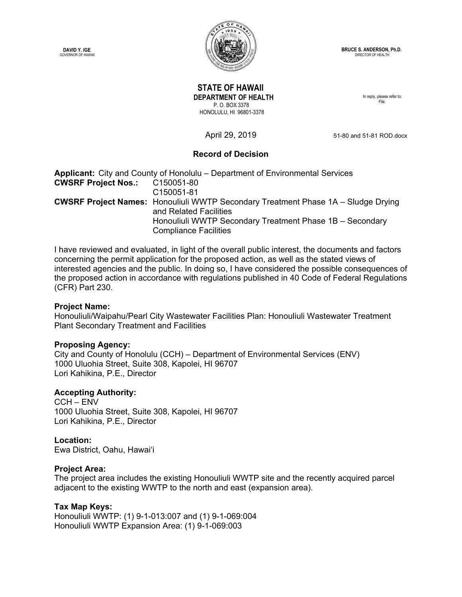**DAVID Y. IGE**  GOVERNOR OF HAWAII



**BRUCE S. ANDERSON, Ph.D.** DIRECTOR OF HEALTH

# **STATE OF HAWAII DEPARTMENT OF HEALTH**  P. O. BOX 3378 HONOLULU, HI 96801-3378

In reply, please refer to: File:

April 29, 2019 51-80 and 51-81 ROD.docx

# **Record of Decision**

**Applicant:** City and County of Honolulu – Department of Environmental Services **CWSRF Project Nos.:** C150051-80 C150051-81 **CWSRF Project Names:** Honouliuli WWTP Secondary Treatment Phase 1A – Sludge Drying and Related Facilities Honouliuli WWTP Secondary Treatment Phase 1B – Secondary Compliance Facilities

I have reviewed and evaluated, in light of the overall public interest, the documents and factors concerning the permit application for the proposed action, as well as the stated views of interested agencies and the public. In doing so, I have considered the possible consequences of the proposed action in accordance with regulations published in 40 Code of Federal Regulations (CFR) Part 230.

## **Project Name:**

Honouliuli/Waipahu/Pearl City Wastewater Facilities Plan: Honouliuli Wastewater Treatment Plant Secondary Treatment and Facilities

## **Proposing Agency:**

City and County of Honolulu (CCH) – Department of Environmental Services (ENV) 1000 Uluohia Street, Suite 308, Kapolei, HI 96707 Lori Kahikina, P.E., Director

## **Accepting Authority:**

CCH – ENV 1000 Uluohia Street, Suite 308, Kapolei, HI 96707 Lori Kahikina, P.E., Director

#### **Location:**

Ewa District, Oahu, Hawai'i

#### **Project Area:**

The project area includes the existing Honouliuli WWTP site and the recently acquired parcel adjacent to the existing WWTP to the north and east (expansion area).

## **Tax Map Keys:**

Honouliuli WWTP: (1) 9-1-013:007 and (1) 9-1-069:004 Honouliuli WWTP Expansion Area: (1) 9-1-069:003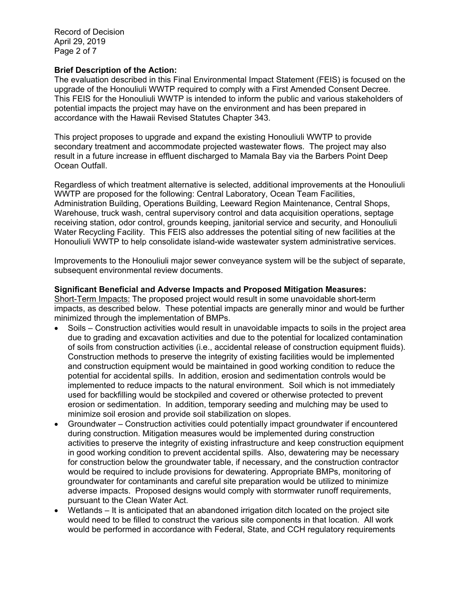Record of Decision April 29, 2019 Page 2 of 7

### **Brief Description of the Action:**

The evaluation described in this Final Environmental Impact Statement (FEIS) is focused on the upgrade of the Honouliuli WWTP required to comply with a First Amended Consent Decree. This FEIS for the Honouliuli WWTP is intended to inform the public and various stakeholders of potential impacts the project may have on the environment and has been prepared in accordance with the Hawaii Revised Statutes Chapter 343.

This project proposes to upgrade and expand the existing Honouliuli WWTP to provide secondary treatment and accommodate projected wastewater flows. The project may also result in a future increase in effluent discharged to Mamala Bay via the Barbers Point Deep Ocean Outfall.

Regardless of which treatment alternative is selected, additional improvements at the Honouliuli WWTP are proposed for the following: Central Laboratory, Ocean Team Facilities, Administration Building, Operations Building, Leeward Region Maintenance, Central Shops, Warehouse, truck wash, central supervisory control and data acquisition operations, septage receiving station, odor control, grounds keeping, janitorial service and security, and Honouliuli Water Recycling Facility. This FEIS also addresses the potential siting of new facilities at the Honouliuli WWTP to help consolidate island-wide wastewater system administrative services.

Improvements to the Honouliuli major sewer conveyance system will be the subject of separate, subsequent environmental review documents.

#### **Significant Beneficial and Adverse Impacts and Proposed Mitigation Measures:**

Short-Term Impacts: The proposed project would result in some unavoidable short-term impacts, as described below. These potential impacts are generally minor and would be further minimized through the implementation of BMPs.

- Soils Construction activities would result in unavoidable impacts to soils in the project area due to grading and excavation activities and due to the potential for localized contamination of soils from construction activities (i.e., accidental release of construction equipment fluids). Construction methods to preserve the integrity of existing facilities would be implemented and construction equipment would be maintained in good working condition to reduce the potential for accidental spills. In addition, erosion and sedimentation controls would be implemented to reduce impacts to the natural environment. Soil which is not immediately used for backfilling would be stockpiled and covered or otherwise protected to prevent erosion or sedimentation. In addition, temporary seeding and mulching may be used to minimize soil erosion and provide soil stabilization on slopes.
- Groundwater Construction activities could potentially impact groundwater if encountered during construction. Mitigation measures would be implemented during construction activities to preserve the integrity of existing infrastructure and keep construction equipment in good working condition to prevent accidental spills. Also, dewatering may be necessary for construction below the groundwater table, if necessary, and the construction contractor would be required to include provisions for dewatering. Appropriate BMPs, monitoring of groundwater for contaminants and careful site preparation would be utilized to minimize adverse impacts. Proposed designs would comply with stormwater runoff requirements, pursuant to the Clean Water Act.
- Wetlands It is anticipated that an abandoned irrigation ditch located on the project site would need to be filled to construct the various site components in that location. All work would be performed in accordance with Federal, State, and CCH regulatory requirements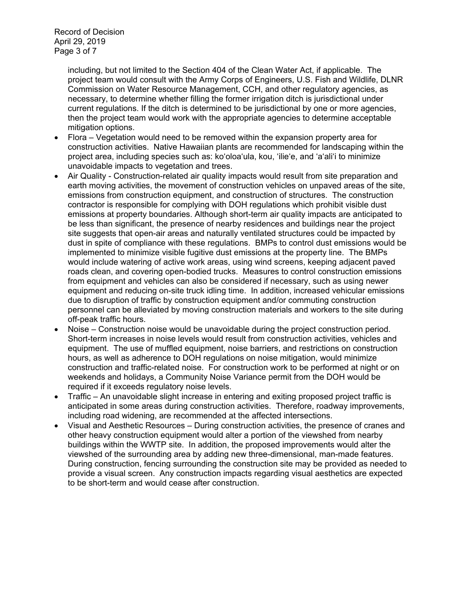Record of Decision April 29, 2019 Page 3 of 7

> including, but not limited to the Section 404 of the Clean Water Act, if applicable. The project team would consult with the Army Corps of Engineers, U.S. Fish and Wildlife, DLNR Commission on Water Resource Management, CCH, and other regulatory agencies, as necessary, to determine whether filling the former irrigation ditch is jurisdictional under current regulations. If the ditch is determined to be jurisdictional by one or more agencies, then the project team would work with the appropriate agencies to determine acceptable mitigation options.

- Flora Vegetation would need to be removed within the expansion property area for construction activities. Native Hawaiian plants are recommended for landscaping within the project area, including species such as: koʻoloaʻula, kou, 'ilie'e, and 'a'ali'i to minimize unavoidable impacts to vegetation and trees.
- Air Quality Construction-related air quality impacts would result from site preparation and earth moving activities, the movement of construction vehicles on unpaved areas of the site, emissions from construction equipment, and construction of structures. The construction contractor is responsible for complying with DOH regulations which prohibit visible dust emissions at property boundaries. Although short-term air quality impacts are anticipated to be less than significant, the presence of nearby residences and buildings near the project site suggests that open-air areas and naturally ventilated structures could be impacted by dust in spite of compliance with these regulations. BMPs to control dust emissions would be implemented to minimize visible fugitive dust emissions at the property line. The BMPs would include watering of active work areas, using wind screens, keeping adjacent paved roads clean, and covering open-bodied trucks. Measures to control construction emissions from equipment and vehicles can also be considered if necessary, such as using newer equipment and reducing on-site truck idling time. In addition, increased vehicular emissions due to disruption of traffic by construction equipment and/or commuting construction personnel can be alleviated by moving construction materials and workers to the site during off-peak traffic hours.
- Noise Construction noise would be unavoidable during the project construction period. Short-term increases in noise levels would result from construction activities, vehicles and equipment. The use of muffled equipment, noise barriers, and restrictions on construction hours, as well as adherence to DOH regulations on noise mitigation, would minimize construction and traffic-related noise. For construction work to be performed at night or on weekends and holidays, a Community Noise Variance permit from the DOH would be required if it exceeds regulatory noise levels.
- Traffic An unavoidable slight increase in entering and exiting proposed project traffic is anticipated in some areas during construction activities. Therefore, roadway improvements, including road widening, are recommended at the affected intersections.
- Visual and Aesthetic Resources During construction activities, the presence of cranes and other heavy construction equipment would alter a portion of the viewshed from nearby buildings within the WWTP site. In addition, the proposed improvements would alter the viewshed of the surrounding area by adding new three-dimensional, man-made features. During construction, fencing surrounding the construction site may be provided as needed to provide a visual screen. Any construction impacts regarding visual aesthetics are expected to be short-term and would cease after construction.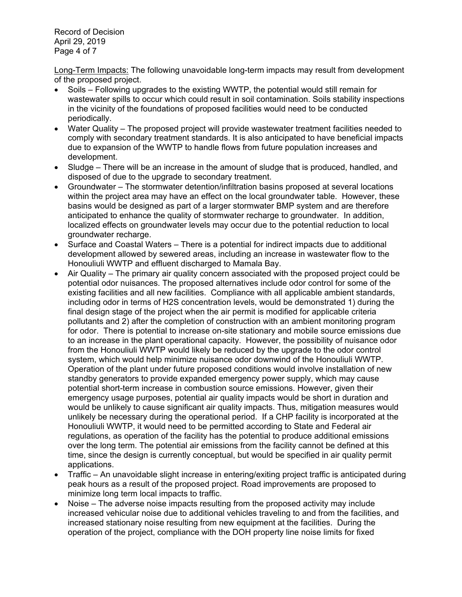Record of Decision April 29, 2019 Page 4 of 7

Long-Term Impacts: The following unavoidable long-term impacts may result from development of the proposed project.

- Soils Following upgrades to the existing WWTP, the potential would still remain for wastewater spills to occur which could result in soil contamination. Soils stability inspections in the vicinity of the foundations of proposed facilities would need to be conducted periodically.
- Water Quality The proposed project will provide wastewater treatment facilities needed to comply with secondary treatment standards. It is also anticipated to have beneficial impacts due to expansion of the WWTP to handle flows from future population increases and development.
- Sludge There will be an increase in the amount of sludge that is produced, handled, and disposed of due to the upgrade to secondary treatment.
- Groundwater The stormwater detention/infiltration basins proposed at several locations within the project area may have an effect on the local groundwater table. However, these basins would be designed as part of a larger stormwater BMP system and are therefore anticipated to enhance the quality of stormwater recharge to groundwater. In addition, localized effects on groundwater levels may occur due to the potential reduction to local groundwater recharge.
- Surface and Coastal Waters There is a potential for indirect impacts due to additional development allowed by sewered areas, including an increase in wastewater flow to the Honouliuli WWTP and effluent discharged to Mamala Bay.
- Air Quality The primary air quality concern associated with the proposed project could be potential odor nuisances. The proposed alternatives include odor control for some of the existing facilities and all new facilities. Compliance with all applicable ambient standards, including odor in terms of H2S concentration levels, would be demonstrated 1) during the final design stage of the project when the air permit is modified for applicable criteria pollutants and 2) after the completion of construction with an ambient monitoring program for odor. There is potential to increase on-site stationary and mobile source emissions due to an increase in the plant operational capacity. However, the possibility of nuisance odor from the Honouliuli WWTP would likely be reduced by the upgrade to the odor control system, which would help minimize nuisance odor downwind of the Honouliuli WWTP. Operation of the plant under future proposed conditions would involve installation of new standby generators to provide expanded emergency power supply, which may cause potential short-term increase in combustion source emissions. However, given their emergency usage purposes, potential air quality impacts would be short in duration and would be unlikely to cause significant air quality impacts. Thus, mitigation measures would unlikely be necessary during the operational period. If a CHP facility is incorporated at the Honouliuli WWTP, it would need to be permitted according to State and Federal air regulations, as operation of the facility has the potential to produce additional emissions over the long term. The potential air emissions from the facility cannot be defined at this time, since the design is currently conceptual, but would be specified in air quality permit applications.
- Traffic An unavoidable slight increase in entering/exiting project traffic is anticipated during peak hours as a result of the proposed project. Road improvements are proposed to minimize long term local impacts to traffic.
- Noise The adverse noise impacts resulting from the proposed activity may include increased vehicular noise due to additional vehicles traveling to and from the facilities, and increased stationary noise resulting from new equipment at the facilities. During the operation of the project, compliance with the DOH property line noise limits for fixed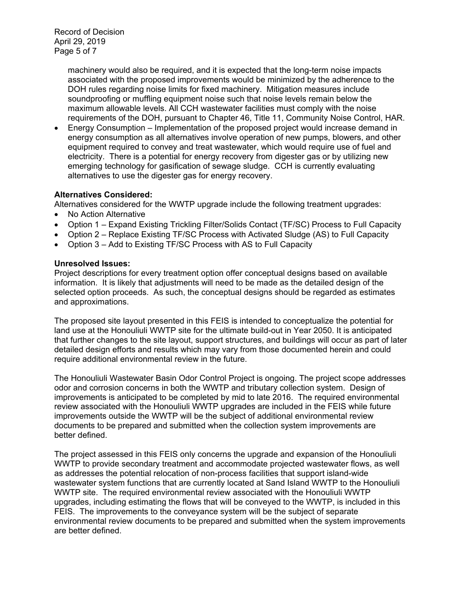machinery would also be required, and it is expected that the long-term noise impacts associated with the proposed improvements would be minimized by the adherence to the DOH rules regarding noise limits for fixed machinery. Mitigation measures include soundproofing or muffling equipment noise such that noise levels remain below the maximum allowable levels. All CCH wastewater facilities must comply with the noise requirements of the DOH, pursuant to Chapter 46, Title 11, Community Noise Control, HAR.

 Energy Consumption – Implementation of the proposed project would increase demand in energy consumption as all alternatives involve operation of new pumps, blowers, and other equipment required to convey and treat wastewater, which would require use of fuel and electricity. There is a potential for energy recovery from digester gas or by utilizing new emerging technology for gasification of sewage sludge. CCH is currently evaluating alternatives to use the digester gas for energy recovery.

# **Alternatives Considered:**

Alternatives considered for the WWTP upgrade include the following treatment upgrades:

- No Action Alternative
- Option 1 Expand Existing Trickling Filter/Solids Contact (TF/SC) Process to Full Capacity
- Option 2 Replace Existing TF/SC Process with Activated Sludge (AS) to Full Capacity
- Option 3 Add to Existing TF/SC Process with AS to Full Capacity

### **Unresolved Issues:**

Project descriptions for every treatment option offer conceptual designs based on available information. It is likely that adjustments will need to be made as the detailed design of the selected option proceeds. As such, the conceptual designs should be regarded as estimates and approximations.

The proposed site layout presented in this FEIS is intended to conceptualize the potential for land use at the Honouliuli WWTP site for the ultimate build-out in Year 2050. It is anticipated that further changes to the site layout, support structures, and buildings will occur as part of later detailed design efforts and results which may vary from those documented herein and could require additional environmental review in the future.

The Honouliuli Wastewater Basin Odor Control Project is ongoing. The project scope addresses odor and corrosion concerns in both the WWTP and tributary collection system. Design of improvements is anticipated to be completed by mid to late 2016. The required environmental review associated with the Honouliuli WWTP upgrades are included in the FEIS while future improvements outside the WWTP will be the subject of additional environmental review documents to be prepared and submitted when the collection system improvements are better defined.

The project assessed in this FEIS only concerns the upgrade and expansion of the Honouliuli WWTP to provide secondary treatment and accommodate projected wastewater flows, as well as addresses the potential relocation of non-process facilities that support island-wide wastewater system functions that are currently located at Sand Island WWTP to the Honouliuli WWTP site. The required environmental review associated with the Honouliuli WWTP upgrades, including estimating the flows that will be conveyed to the WWTP, is included in this FEIS. The improvements to the conveyance system will be the subject of separate environmental review documents to be prepared and submitted when the system improvements are better defined.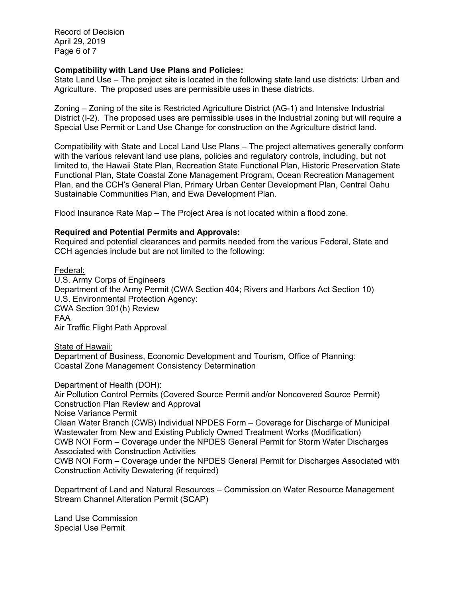Record of Decision April 29, 2019 Page 6 of 7

### **Compatibility with Land Use Plans and Policies:**

State Land Use – The project site is located in the following state land use districts: Urban and Agriculture. The proposed uses are permissible uses in these districts.

Zoning – Zoning of the site is Restricted Agriculture District (AG-1) and Intensive Industrial District (I-2). The proposed uses are permissible uses in the Industrial zoning but will require a Special Use Permit or Land Use Change for construction on the Agriculture district land.

Compatibility with State and Local Land Use Plans – The project alternatives generally conform with the various relevant land use plans, policies and regulatory controls, including, but not limited to, the Hawaii State Plan, Recreation State Functional Plan, Historic Preservation State Functional Plan, State Coastal Zone Management Program, Ocean Recreation Management Plan, and the CCH's General Plan, Primary Urban Center Development Plan, Central Oahu Sustainable Communities Plan, and Ewa Development Plan.

Flood Insurance Rate Map – The Project Area is not located within a flood zone.

#### **Required and Potential Permits and Approvals:**

Required and potential clearances and permits needed from the various Federal, State and CCH agencies include but are not limited to the following:

Federal:

U.S. Army Corps of Engineers Department of the Army Permit (CWA Section 404; Rivers and Harbors Act Section 10) U.S. Environmental Protection Agency: CWA Section 301(h) Review FAA Air Traffic Flight Path Approval

State of Hawaii:

Department of Business, Economic Development and Tourism, Office of Planning: Coastal Zone Management Consistency Determination

Department of Health (DOH):

Air Pollution Control Permits (Covered Source Permit and/or Noncovered Source Permit) Construction Plan Review and Approval

Noise Variance Permit

Clean Water Branch (CWB) Individual NPDES Form – Coverage for Discharge of Municipal Wastewater from New and Existing Publicly Owned Treatment Works (Modification) CWB NOI Form – Coverage under the NPDES General Permit for Storm Water Discharges Associated with Construction Activities

CWB NOI Form – Coverage under the NPDES General Permit for Discharges Associated with Construction Activity Dewatering (if required)

Department of Land and Natural Resources – Commission on Water Resource Management Stream Channel Alteration Permit (SCAP)

Land Use Commission Special Use Permit